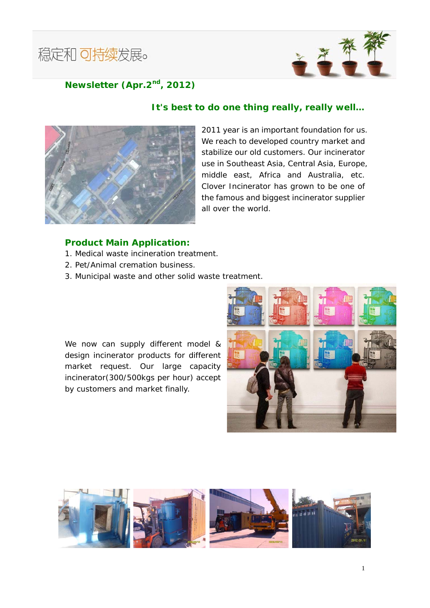



## **Newsletter (Apr.2nd, 2012)**

## *It's best to do one thing really, really well…*



2011 year is an important foundation for us. We reach to developed country market and stabilize our old customers. Our incinerator use in Southeast Asia, Central Asia, Europe, middle east, Africa and Australia, etc. Clover Incinerator has grown to be one of the famous and biggest incinerator supplier all over the world.

## **Product Main Application:**

- 1. Medical waste incineration treatment.
- 2. Pet/Animal cremation business.
- 3. Municipal waste and other solid waste treatment.

We now can supply different model & design incinerator products for different market request. Our large capacity incinerator(300/500kgs per hour) accept by customers and market finally.